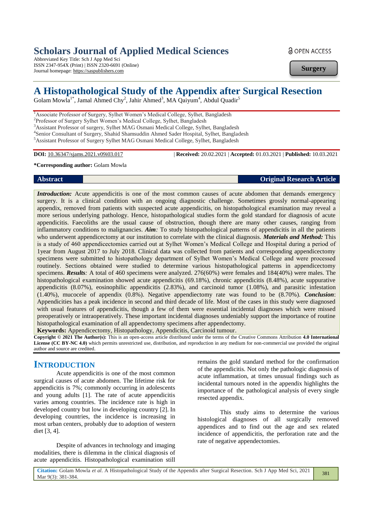# **Scholars Journal of Applied Medical Sciences**

Abbreviated Key Title: Sch J App Med Sci ISSN 2347-954X (Print) | ISSN 2320-6691 (Online) Journal homepage: https://saspublishers.com

**a** OPEN ACCESS

**Surgery**

# **A Histopathological Study of the Appendix after Surgical Resection**

Golam Mowla<sup>1\*</sup>, Jamal Ahmed Chy<sup>2</sup>, Jahir Ahmed<sup>3</sup>, MA Qaiyum<sup>4</sup>, Abdul Quadir<sup>5</sup>

<sup>1</sup>Associate Professor of Surgery, Sylhet Women's Medical College, Sylhet, Bangladesh

<sup>2</sup>Professor of Surgery Sylhet Women's Medical College, Sylhet, Bangladesh

<sup>3</sup>Assistant Professor of surgery, Sylhet MAG Osmani Medical College, Sylhet, Bangladesh

4 Senior Consultant of Surgery, Shahid Shamsuddin Ahmed Sader Hospital, Sylhet, Bangladesh

<sup>5</sup>Assistant Professor of Surgery Sylhet MAG Osmani Medical College, Sylhet, Bangladesh

**DOI:** 10.36347/sjams.2021.v09i03.017 | **Received:** 20.02.2021 | **Accepted:** 01.03.2021 | **Published:** 10.03.2021

#### **\*Corresponding author:** Golam Mowla

#### **Abstract Original Research Article**

*Introduction:* Acute appendicitis is one of the most common causes of acute abdomen that demands emergency surgery. It is a clinical condition with an ongoing diagnostic challenge. Sometimes grossly normal-appearing appendix, removed from patients with suspected acute appendicitis, on histopathological examination may reveal a more serious underlying pathology. Hence, histopathological studies form the gold standard for diagnosis of acute appendicitis. Faecoliths are the usual cause of obstruction, though there are many other causes, ranging from inflammatory conditions to malignancies. *Aim:* To study histopathological patterns of appendicitis in all the patients who underwent appendicectomy at our institution to correlate with the clinical diagnosis. *Materials and Method:* This is a study of 460 appendicectomies carried out at Sylhet Women's Medical College and Hospital during a period of 1year from August 2017 to July 2018. Clinical data was collected from patients and corresponding appendicectomy specimens were submitted to histopathology department of Sylhet Women's Medical College and were processed routinely. Sections obtained were studied to determine various histopathological patterns in appendicectomy specimens. *Results:* A total of 460 specimens were analyzed. 276(60%) were females and 184(40%) were males. The histopathological examination showed acute appendicitis (69.18%), chronic appendicitis (8.48%), acute suppurative appendicitis (8.07%), eosinophilic appendicitis (2.83%), and carcinoid tumor (1.08%), and parasitic infestation (1.40%), mucocele of appendix (0.8%). Negative appendiectomy rate was found to be (8.70%). *Conclusion*: Appendicities has a peak incidence in second and third decade of life. Most of the cases in this study were diagnosed with usual features of appendicitis, though a few of them were essential incidental diagnoses which were missed preoperatively or intraoperatively. These important incidental diagnoses undeniably support the importance of routine histopathological examination of all appendectomy specimens after appendectomy.

**Keywords:** Appendicectomy, Histopathology, Appendicitis, Carcinoid tumour.

**Copyright © 2021 The Author(s):** This is an open-access article distributed under the terms of the Creative Commons Attribution **4.0 International License (CC BY-NC 4.0)** which permits unrestricted use, distribution, and reproduction in any medium for non-commercial use provided the original author and source are credited.

## **INTRODUCTION**

Acute appendicitis is one of the most common surgical causes of acute abdomen. The lifetime risk for appendicitis is 7%; commonly occurring in adolescents and young adults [1]. The rate of acute appendicitis varies among countries. The incidence rate is high in developed country but low in developing country [2]. In developing countries, the incidence is increasing in most urban centers, probably due to adoption of western diet [3, 4].

Despite of advances in technology and imaging modalities, there is dilemma in the clinical diagnosis of acute appendicitis. Histopathological examination still

remains the gold standard method for the confirmation of the appendicitis. Not only the pathologic diagnosis of acute inflammation, at times unusual findings such as incidental tumours noted in the appendix highlights the importance of the pathological analysis of every single resected appendix.

This study aims to determine the various histological diagnoses of all surgically removed appendices and to find out the age and sex related incidence of appendicitis, the perforation rate and the rate of negative appendectomies.

381

**Citation:** Golam Mowla *et al*. A Histopathological Study of the Appendix after Surgical Resection. Sch J App Med Sci, 2021 Mar 9(3): 381-384.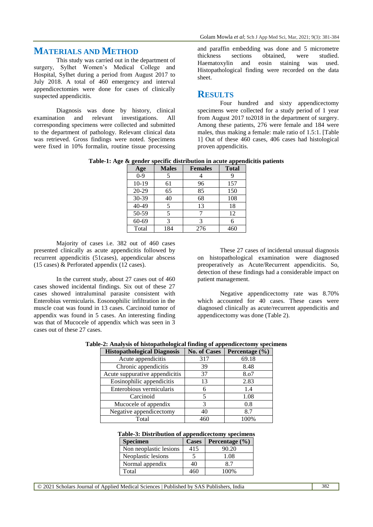## **MATERIALS AND METHOD**

This study was carried out in the department of surgery, Sylhet Women's Medical College and Hospital, Sylhet during a period from August 2017 to July 2018. A total of 460 emergency and interval appendicectomies were done for cases of clinically suspected appendicitis.

Diagnosis was done by history, clinical examination and relevant investigations. All corresponding specimens were collected and submitted to the department of pathology. Relevant clinical data was retrieved. Gross findings were noted. Specimens were fixed in 10% formalin, routine tissue processing and paraffin embedding was done and 5 micrometre thickness sections obtained, were studied. Haematoxylin and eosin staining was used. Histopathological finding were recorded on the data sheet.

## **RESULTS**

Four hundred and sixty appendicectomy specimens were collected for a study period of 1 year from August 2017 to2018 in the department of surgery. Among these patients, 276 were female and 184 were males, thus making a female: male ratio of 1.5:1. [Table 1] Out of these 460 cases, 406 cases had histological proven appendicitis.

**Table-1: Age & gender specific distribution in acute appendicitis patients**

| Age       | <b>Males</b> | <b>Females</b> | <b>Total</b> |
|-----------|--------------|----------------|--------------|
| $0-9$     |              |                |              |
| $10-19$   | 61           | 96             | 157          |
| 20-29     | 65           | 85             | 150          |
| 30-39     | 40           | 68             | 108          |
| $40 - 49$ |              | 13             | 18           |
| 50-59     |              |                | 12           |
| 60-69     | 3            |                | 6            |
| Total     | 184          | 276            | 460          |

Majority of cases i.e. 382 out of 460 cases presented clinically as acute appendicitis followed by recurrent appendicitis (51cases), appendicular abscess (15 cases) & Perforated appendix (12 cases).

In the current study, about 27 cases out of 460 cases showed incidental findings. Six out of these 27 cases showed intraluminal parasite consistent with Enterobius vermicularis. Eosonophilic infiltration in the muscle coat was found in 13 cases. Carcinoid tumor of appendix was found in 5 cases. An interesting finding was that of Mucocele of appendix which was seen in 3 cases out of these 27 cases.

These 27 cases of incidental unusual diagnosis on histopathological examination were diagnosed preoperatively as Acute/Recurrent appendicitis. So, detection of these findings had a considerable impact on patient management.

Negative appendicectomy rate was 8.70% which accounted for 40 cases. These cases were diagnosed clinically as acute/recurrent appendicitis and appendicectomy was done (Table 2).

| <b>Histopathological Diagnosis</b> | <b>No. of Cases</b> | Percentage (%) |
|------------------------------------|---------------------|----------------|
| Acute appendicitis                 | 317                 | 69.18          |
| Chronic appendicitis               | 39                  | 8.48           |
| Acute suppurative appendicitis     | 37                  | 8.07           |
| Eosinophilic appendicitis          | 13                  | 2.83           |
| Enterobious vermicularis           |                     | 1.4            |
| Carcinoid                          |                     | 1.08           |
| Mucocele of appendix               | 3                   | 0.8            |
| Negative appendicectomy            | 40                  | 8.7            |
| Total                              | 460                 | 100%           |

#### **Table-3: Distribution of appendicectomy specimens**

| <b>Specimen</b>        | <b>Cases</b> | Percentage $(\% )$ |
|------------------------|--------------|--------------------|
| Non neoplastic lesions | 415          | 90.20              |
| Neoplastic lesions     |              | 1.08               |
| Normal appendix        | 40           |                    |
| Total                  | 16٢          | 100%               |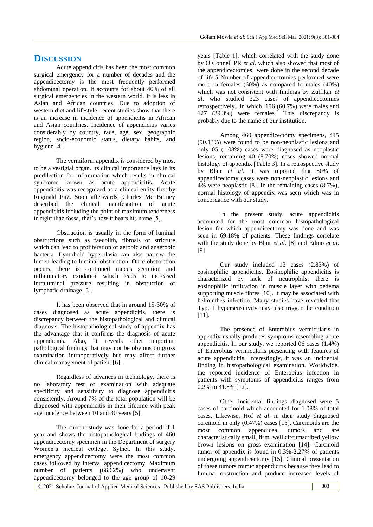### **DISCUSSION**

Acute appendicitis has been the most common surgical emergency for a number of decades and the appendicectomy is the most frequently performed abdominal operation. It accounts for about 40% of all surgical emergencies in the western world. It is less in Asian and African countries. Due to adoption of western diet and lifestyle, recent studies show that there is an increase in incidence of appendicitis in African and Asian countries. Incidence of appendicitis varies considerably by country, race, age, sex, geographic region, socio-economic status, dietary habits, and hygiene [4].

The vermiform appendix is considered by most to be a vestigial organ. Its clinical importance lays in its predilection for inflammation which results in clinical syndrome known as acute appendicitis. Acute appendicitis was recognized as a clinical entity first by Reginald Fitz. Soon afterwards, Charles Mc Burney described the clinical manifestation of acute appendicitis including the point of maximum tenderness in right iliac fossa, that's how it bears his name [5].

Obstruction is usually in the form of luminal obstructions such as faecolith, fibrosis or stricture which can lead to proliferation of aerobic and anaerobic bacteria. Lymphoid hyperplasia can also narrow the lumen leading to luminal obstruction. Once obstruction occurs, there is continued mucus secretion and inflammatory exudation which leads to increased intraluminal pressure resulting in obstruction of lymphatic drainage [5].

It has been observed that in around 15-30% of cases diagnosed as acute appendicitis, there is discrepancy between the histopathological and clinical diagnosis. The histopathological study of appendix has the advantage that it confirms the diagnosis of acute<br>appendicitis. Also, it reveals other important appendicitis. Also, it reveals pathological findings that may not be obvious on gross examination intraoperatively but may affect further clinical management of patient [6].

Regardless of advances in technology, there is no laboratory test or examination with adequate specificity and sensitivity to diagnose appendicitis consistently. Around 7% of the total population will be diagnosed with appendicitis in their lifetime with peak age incidence between 10 and 30 years [5].

The current study was done for a period of 1 year and shows the histopathological findings of 460 appendicectomy specimen in the Department of surgery Women's medical college, Sylhet. In this study, emergency appendicectomy were the most common cases followed by interval appendicectomy. Maximum number of patients (66.62%) who underwent appendicectomy belonged to the age group of 10-29

years [Table 1], which correlated with the study done by O Connell PR *et al*. which also showed that most of the appendicectomies were done in the second decade of life.5 Number of appendicectomies performed were more in females (60%) as compared to males (40%) which was not consistent with findings by Zulfikar *et al*. who studied 323 cases of appendicectomies retrospectively., in which, 196 (60.7%) were males and 127 (39.3%) were females.<sup>7</sup> This discrepancy is probably due to the name of our institution.

Among 460 appendicectomy specimens, 415 (90.13%) were found to be non-neoplastic lesions and only 05 (1.08%) cases were diagnosed as neoplastic lesions, remaining 40 (8.70%) cases showed normal histology of appendix [Table 3]. In a retrospective study by Blair *et al*. it was reported that 80% of appendicectomy cases were non-neoplastic lesions and 4% were neoplastic [8]. In the remaining cases (8.7%), normal histology of appendix was seen which was in concordance with our study.

In the present study, acute appendicitis accounted for the most common histopathological lesion for which appendicectomy was done and was seen in 69.18% of patients. These findings correlate with the study done by Blair *et al*. [8] and Edino *et al*. [9]

Our study included 13 cases (2.83%) of eosinophilic appendicitis. Eosinophilic appendicitis is characterized by lack of neutrophils; there is eosinophilic infiltration in muscle layer with oedema supporting muscle fibres [10]. It may be associated with helminthes infection. Many studies have revealed that Type I hypersensitivity may also trigger the condition [11].

The presence of Enterobius vermicularis in appendix usually produces symptoms resembling acute appendicitis. In our study, we reported 06 cases (1.4%) of Enterobius vermicularis presenting with features of acute appendicitis. Interestingly, it was an incidental finding in histopathological examination. Worldwide, the reported incidence of Enterobius infection in patients with symptoms of appendicitis ranges from  $0.2\%$  to 41.8% [12].

Other incidental findings diagnosed were 5 cases of carcinoid which accounted for 1.08% of total cases. Likewise, Hof *et al*. in their study diagnosed carcinoid in only (0.47%) cases [13]. Carcinoids are the most common appendiceal tumors and are characteristically small, firm, well circumscribed yellow brown lesions on gross examination [14]. Carcinoid tumor of appendix is found in 0.3%-2.27% of patients undergoing appendicectomy [15]. Clinical presentation of these tumors mimic appendicitis because they lead to luminal obstruction and produce increased levels of

© 2021 Scholars Journal of Applied Medical Sciences | Published by SAS Publishers, India 383